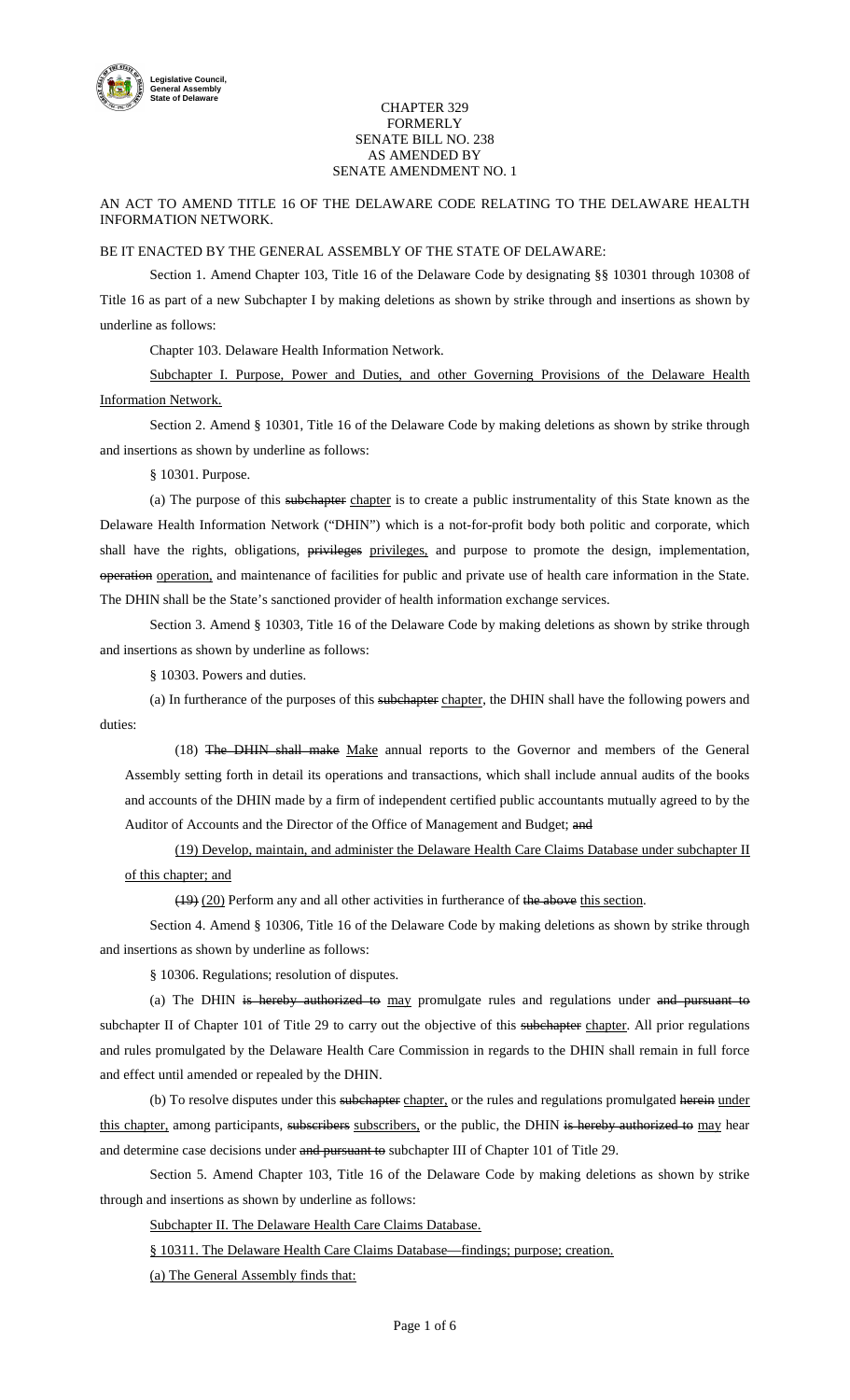

## CHAPTER 329 FORMERLY SENATE BILL NO. 238 AS AMENDED BY SENATE AMENDMENT NO. 1

AN ACT TO AMEND TITLE 16 OF THE DELAWARE CODE RELATING TO THE DELAWARE HEALTH INFORMATION NETWORK.

## BE IT ENACTED BY THE GENERAL ASSEMBLY OF THE STATE OF DELAWARE:

Section 1. Amend Chapter 103, Title 16 of the Delaware Code by designating §§ 10301 through 10308 of Title 16 as part of a new Subchapter I by making deletions as shown by strike through and insertions as shown by underline as follows:

Chapter 103. Delaware Health Information Network.

Subchapter I. Purpose, Power and Duties, and other Governing Provisions of the Delaware Health Information Network.

Section 2. Amend § 10301, Title 16 of the Delaware Code by making deletions as shown by strike through and insertions as shown by underline as follows:

§ 10301. Purpose.

(a) The purpose of this subchapter chapter is to create a public instrumentality of this State known as the Delaware Health Information Network ("DHIN") which is a not-for-profit body both politic and corporate, which shall have the rights, obligations, privileges privileges, and purpose to promote the design, implementation, operation operation, and maintenance of facilities for public and private use of health care information in the State. The DHIN shall be the State's sanctioned provider of health information exchange services.

Section 3. Amend § 10303, Title 16 of the Delaware Code by making deletions as shown by strike through and insertions as shown by underline as follows:

§ 10303. Powers and duties.

(a) In furtherance of the purposes of this subchapter chapter, the DHIN shall have the following powers and duties:

(18) The DHIN shall make Make annual reports to the Governor and members of the General Assembly setting forth in detail its operations and transactions, which shall include annual audits of the books and accounts of the DHIN made by a firm of independent certified public accountants mutually agreed to by the Auditor of Accounts and the Director of the Office of Management and Budget; and

(19) Develop, maintain, and administer the Delaware Health Care Claims Database under subchapter II of this chapter; and

(19) (20) Perform any and all other activities in furtherance of the above this section.

Section 4. Amend § 10306, Title 16 of the Delaware Code by making deletions as shown by strike through and insertions as shown by underline as follows:

§ 10306. Regulations; resolution of disputes.

(a) The DHIN is hereby authorized to may promulgate rules and regulations under and pursuant to subchapter II of Chapter 101 of Title 29 to carry out the objective of this subchapter chapter. All prior regulations and rules promulgated by the Delaware Health Care Commission in regards to the DHIN shall remain in full force and effect until amended or repealed by the DHIN.

(b) To resolve disputes under this subchapter chapter, or the rules and regulations promulgated herein under this chapter, among participants, subseribers subscribers, or the public, the DHIN is hereby authorized to may hear and determine case decisions under and pursuant to subchapter III of Chapter 101 of Title 29.

Section 5. Amend Chapter 103, Title 16 of the Delaware Code by making deletions as shown by strike through and insertions as shown by underline as follows:

Subchapter II. The Delaware Health Care Claims Database.

§ 10311. The Delaware Health Care Claims Database—findings; purpose; creation.

(a) The General Assembly finds that: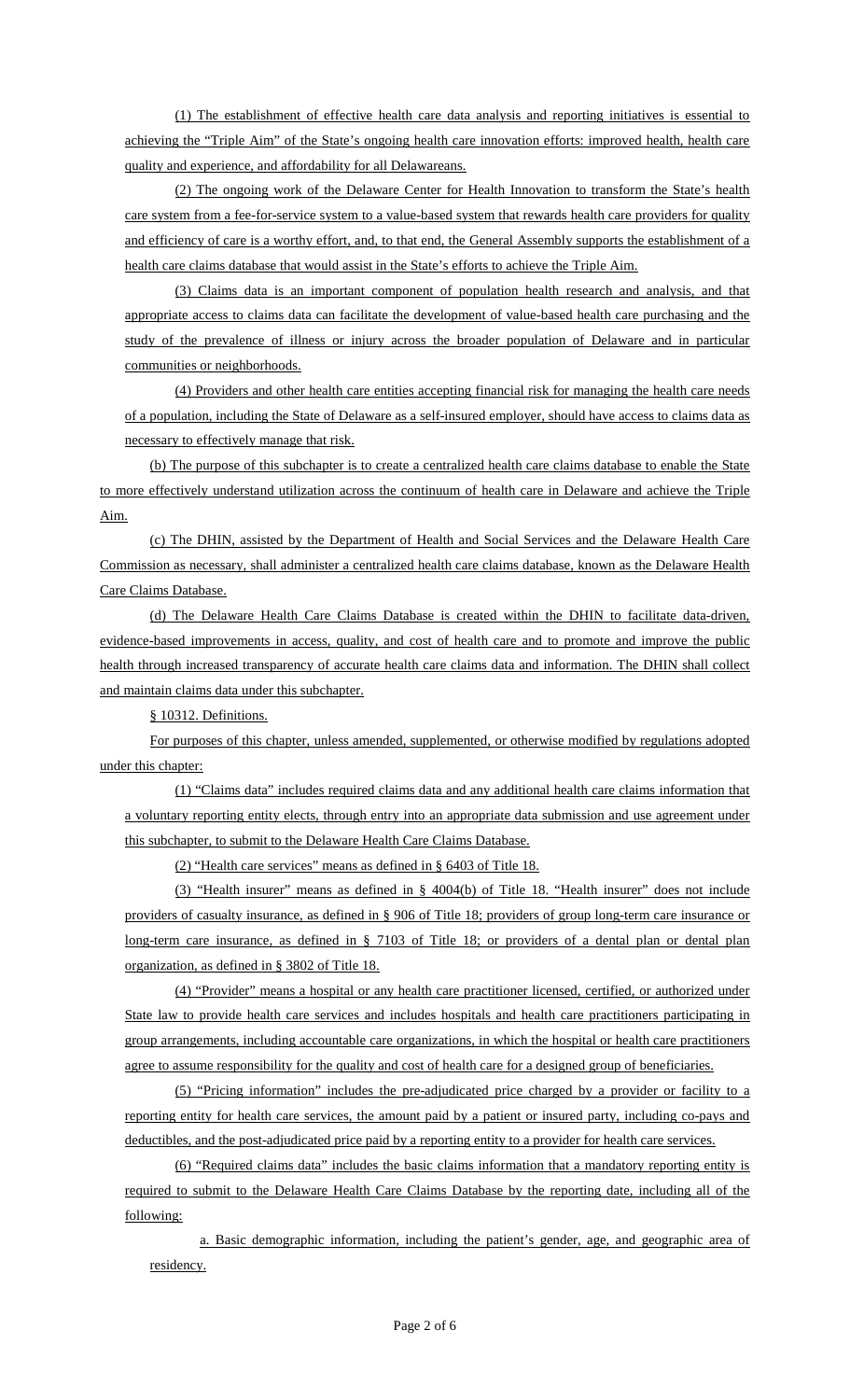(1) The establishment of effective health care data analysis and reporting initiatives is essential to achieving the "Triple Aim" of the State's ongoing health care innovation efforts: improved health, health care quality and experience, and affordability for all Delawareans.

(2) The ongoing work of the Delaware Center for Health Innovation to transform the State's health care system from a fee-for-service system to a value-based system that rewards health care providers for quality and efficiency of care is a worthy effort, and, to that end, the General Assembly supports the establishment of a health care claims database that would assist in the State's efforts to achieve the Triple Aim.

(3) Claims data is an important component of population health research and analysis, and that appropriate access to claims data can facilitate the development of value-based health care purchasing and the study of the prevalence of illness or injury across the broader population of Delaware and in particular communities or neighborhoods.

(4) Providers and other health care entities accepting financial risk for managing the health care needs of a population, including the State of Delaware as a self-insured employer, should have access to claims data as necessary to effectively manage that risk.

(b) The purpose of this subchapter is to create a centralized health care claims database to enable the State to more effectively understand utilization across the continuum of health care in Delaware and achieve the Triple Aim.

(c) The DHIN, assisted by the Department of Health and Social Services and the Delaware Health Care Commission as necessary, shall administer a centralized health care claims database, known as the Delaware Health Care Claims Database.

(d) The Delaware Health Care Claims Database is created within the DHIN to facilitate data-driven, evidence-based improvements in access, quality, and cost of health care and to promote and improve the public health through increased transparency of accurate health care claims data and information. The DHIN shall collect and maintain claims data under this subchapter.

§ 10312. Definitions.

For purposes of this chapter, unless amended, supplemented, or otherwise modified by regulations adopted under this chapter:

(1) "Claims data" includes required claims data and any additional health care claims information that a voluntary reporting entity elects, through entry into an appropriate data submission and use agreement under this subchapter, to submit to the Delaware Health Care Claims Database.

(2) "Health care services" means as defined in § 6403 of Title 18.

(3) "Health insurer" means as defined in § 4004(b) of Title 18. "Health insurer" does not include providers of casualty insurance, as defined in § 906 of Title 18; providers of group long-term care insurance or long-term care insurance, as defined in § 7103 of Title 18; or providers of a dental plan or dental plan organization, as defined in § 3802 of Title 18.

(4) "Provider" means a hospital or any health care practitioner licensed, certified, or authorized under State law to provide health care services and includes hospitals and health care practitioners participating in group arrangements, including accountable care organizations, in which the hospital or health care practitioners agree to assume responsibility for the quality and cost of health care for a designed group of beneficiaries.

(5) "Pricing information" includes the pre-adjudicated price charged by a provider or facility to a reporting entity for health care services, the amount paid by a patient or insured party, including co-pays and deductibles, and the post-adjudicated price paid by a reporting entity to a provider for health care services.

(6) "Required claims data" includes the basic claims information that a mandatory reporting entity is required to submit to the Delaware Health Care Claims Database by the reporting date, including all of the following:

a. Basic demographic information, including the patient's gender, age, and geographic area of residency.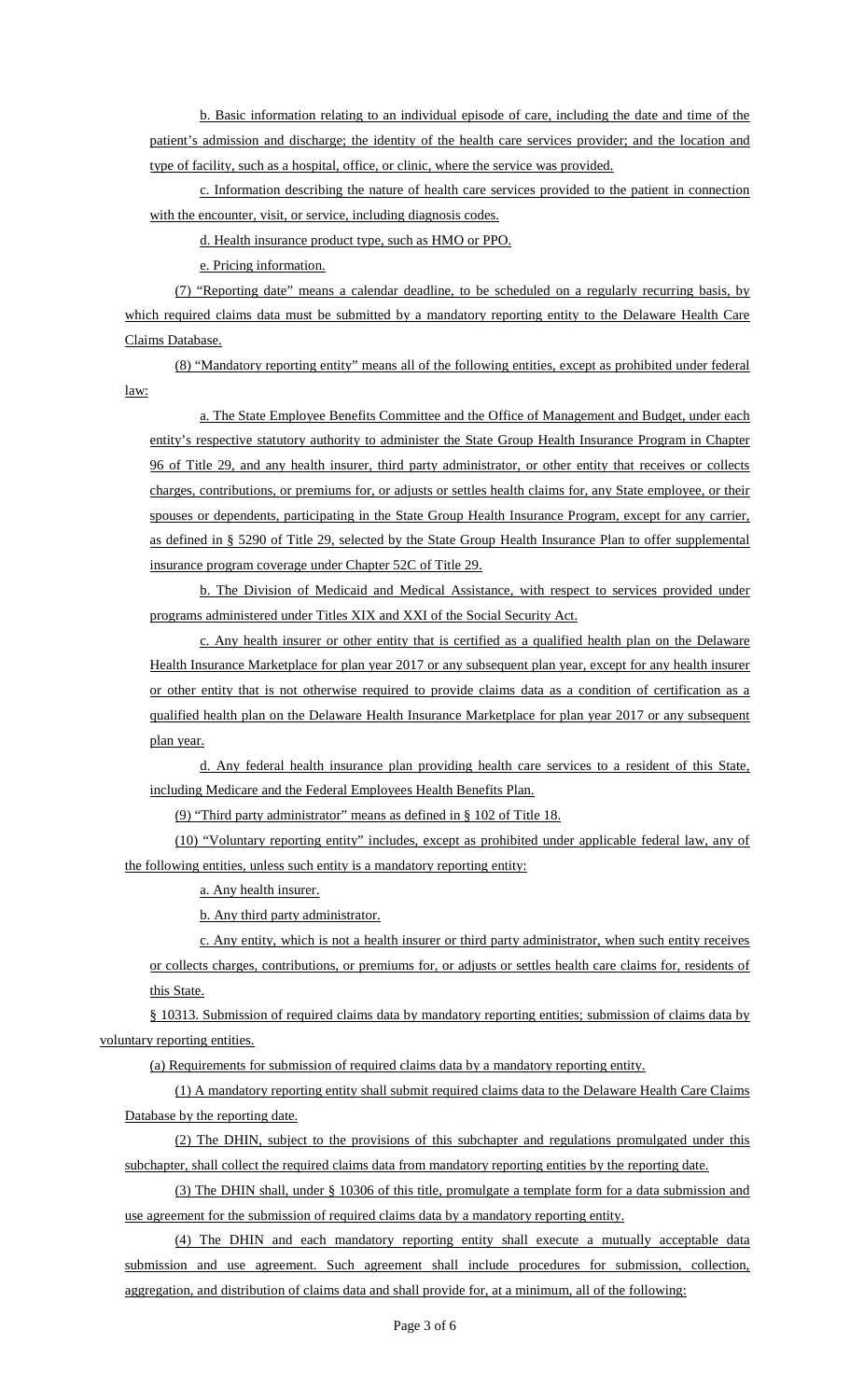b. Basic information relating to an individual episode of care, including the date and time of the patient's admission and discharge; the identity of the health care services provider; and the location and type of facility, such as a hospital, office, or clinic, where the service was provided.

c. Information describing the nature of health care services provided to the patient in connection with the encounter, visit, or service, including diagnosis codes.

d. Health insurance product type, such as HMO or PPO.

e. Pricing information.

(7) "Reporting date" means a calendar deadline, to be scheduled on a regularly recurring basis, by which required claims data must be submitted by a mandatory reporting entity to the Delaware Health Care Claims Database.

(8) "Mandatory reporting entity" means all of the following entities, except as prohibited under federal law:

a. The State Employee Benefits Committee and the Office of Management and Budget, under each entity's respective statutory authority to administer the State Group Health Insurance Program in Chapter 96 of Title 29, and any health insurer, third party administrator, or other entity that receives or collects charges, contributions, or premiums for, or adjusts or settles health claims for, any State employee, or their spouses or dependents, participating in the State Group Health Insurance Program, except for any carrier, as defined in § 5290 of Title 29, selected by the State Group Health Insurance Plan to offer supplemental insurance program coverage under Chapter 52C of Title 29.

b. The Division of Medicaid and Medical Assistance, with respect to services provided under programs administered under Titles XIX and XXI of the Social Security Act.

c. Any health insurer or other entity that is certified as a qualified health plan on the Delaware Health Insurance Marketplace for plan year 2017 or any subsequent plan year, except for any health insurer or other entity that is not otherwise required to provide claims data as a condition of certification as a qualified health plan on the Delaware Health Insurance Marketplace for plan year 2017 or any subsequent plan year.

d. Any federal health insurance plan providing health care services to a resident of this State, including Medicare and the Federal Employees Health Benefits Plan.

(9) "Third party administrator" means as defined in § 102 of Title 18.

(10) "Voluntary reporting entity" includes, except as prohibited under applicable federal law, any of the following entities, unless such entity is a mandatory reporting entity:

a. Any health insurer.

b. Any third party administrator.

c. Any entity, which is not a health insurer or third party administrator, when such entity receives or collects charges, contributions, or premiums for, or adjusts or settles health care claims for, residents of this State.

§ 10313. Submission of required claims data by mandatory reporting entities; submission of claims data by voluntary reporting entities.

(a) Requirements for submission of required claims data by a mandatory reporting entity.

(1) A mandatory reporting entity shall submit required claims data to the Delaware Health Care Claims Database by the reporting date.

(2) The DHIN, subject to the provisions of this subchapter and regulations promulgated under this subchapter, shall collect the required claims data from mandatory reporting entities by the reporting date.

(3) The DHIN shall, under § 10306 of this title, promulgate a template form for a data submission and use agreement for the submission of required claims data by a mandatory reporting entity.

(4) The DHIN and each mandatory reporting entity shall execute a mutually acceptable data submission and use agreement. Such agreement shall include procedures for submission, collection, aggregation, and distribution of claims data and shall provide for, at a minimum, all of the following: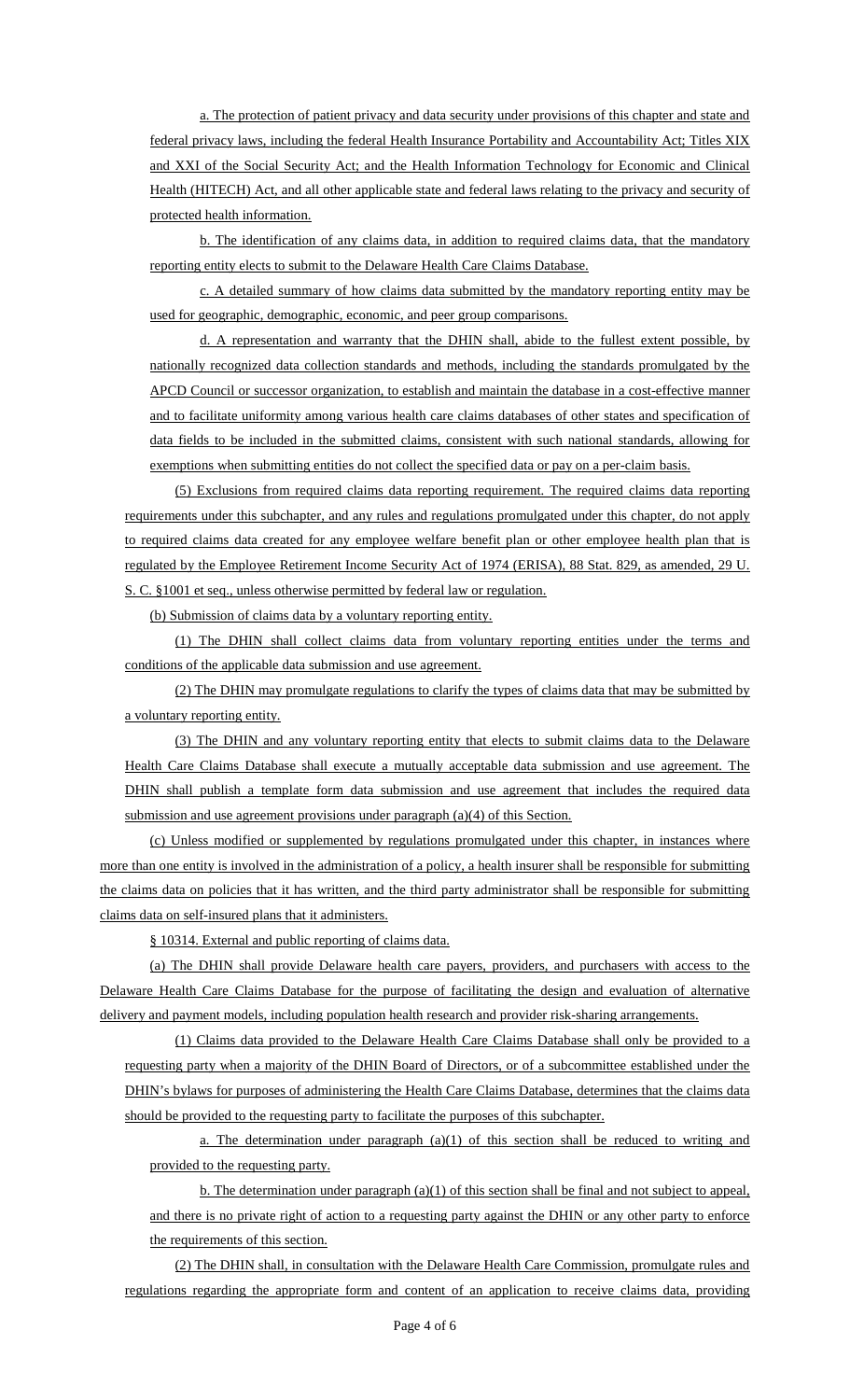a. The protection of patient privacy and data security under provisions of this chapter and state and federal privacy laws, including the federal Health Insurance Portability and Accountability Act; Titles XIX and XXI of the Social Security Act; and the Health Information Technology for Economic and Clinical Health (HITECH) Act, and all other applicable state and federal laws relating to the privacy and security of protected health information.

b. The identification of any claims data, in addition to required claims data, that the mandatory reporting entity elects to submit to the Delaware Health Care Claims Database.

c. A detailed summary of how claims data submitted by the mandatory reporting entity may be used for geographic, demographic, economic, and peer group comparisons.

d. A representation and warranty that the DHIN shall, abide to the fullest extent possible, by nationally recognized data collection standards and methods, including the standards promulgated by the APCD Council or successor organization, to establish and maintain the database in a cost-effective manner and to facilitate uniformity among various health care claims databases of other states and specification of data fields to be included in the submitted claims, consistent with such national standards, allowing for exemptions when submitting entities do not collect the specified data or pay on a per-claim basis.

(5) Exclusions from required claims data reporting requirement. The required claims data reporting requirements under this subchapter, and any rules and regulations promulgated under this chapter, do not apply to required claims data created for any employee welfare benefit plan or other employee health plan that is regulated by the Employee Retirement Income Security Act of 1974 (ERISA), 88 Stat. 829, as amended, 29 U. S. C. §1001 et seq., unless otherwise permitted by federal law or regulation.

(b) Submission of claims data by a voluntary reporting entity.

(1) The DHIN shall collect claims data from voluntary reporting entities under the terms and conditions of the applicable data submission and use agreement.

(2) The DHIN may promulgate regulations to clarify the types of claims data that may be submitted by a voluntary reporting entity.

(3) The DHIN and any voluntary reporting entity that elects to submit claims data to the Delaware Health Care Claims Database shall execute a mutually acceptable data submission and use agreement. The DHIN shall publish a template form data submission and use agreement that includes the required data submission and use agreement provisions under paragraph (a)(4) of this Section.

(c) Unless modified or supplemented by regulations promulgated under this chapter, in instances where more than one entity is involved in the administration of a policy, a health insurer shall be responsible for submitting the claims data on policies that it has written, and the third party administrator shall be responsible for submitting claims data on self-insured plans that it administers.

§ 10314. External and public reporting of claims data.

(a) The DHIN shall provide Delaware health care payers, providers, and purchasers with access to the Delaware Health Care Claims Database for the purpose of facilitating the design and evaluation of alternative delivery and payment models, including population health research and provider risk-sharing arrangements.

(1) Claims data provided to the Delaware Health Care Claims Database shall only be provided to a requesting party when a majority of the DHIN Board of Directors, or of a subcommittee established under the DHIN's bylaws for purposes of administering the Health Care Claims Database, determines that the claims data should be provided to the requesting party to facilitate the purposes of this subchapter.

a. The determination under paragraph (a)(1) of this section shall be reduced to writing and provided to the requesting party.

b. The determination under paragraph (a)(1) of this section shall be final and not subject to appeal, and there is no private right of action to a requesting party against the DHIN or any other party to enforce the requirements of this section.

(2) The DHIN shall, in consultation with the Delaware Health Care Commission, promulgate rules and regulations regarding the appropriate form and content of an application to receive claims data, providing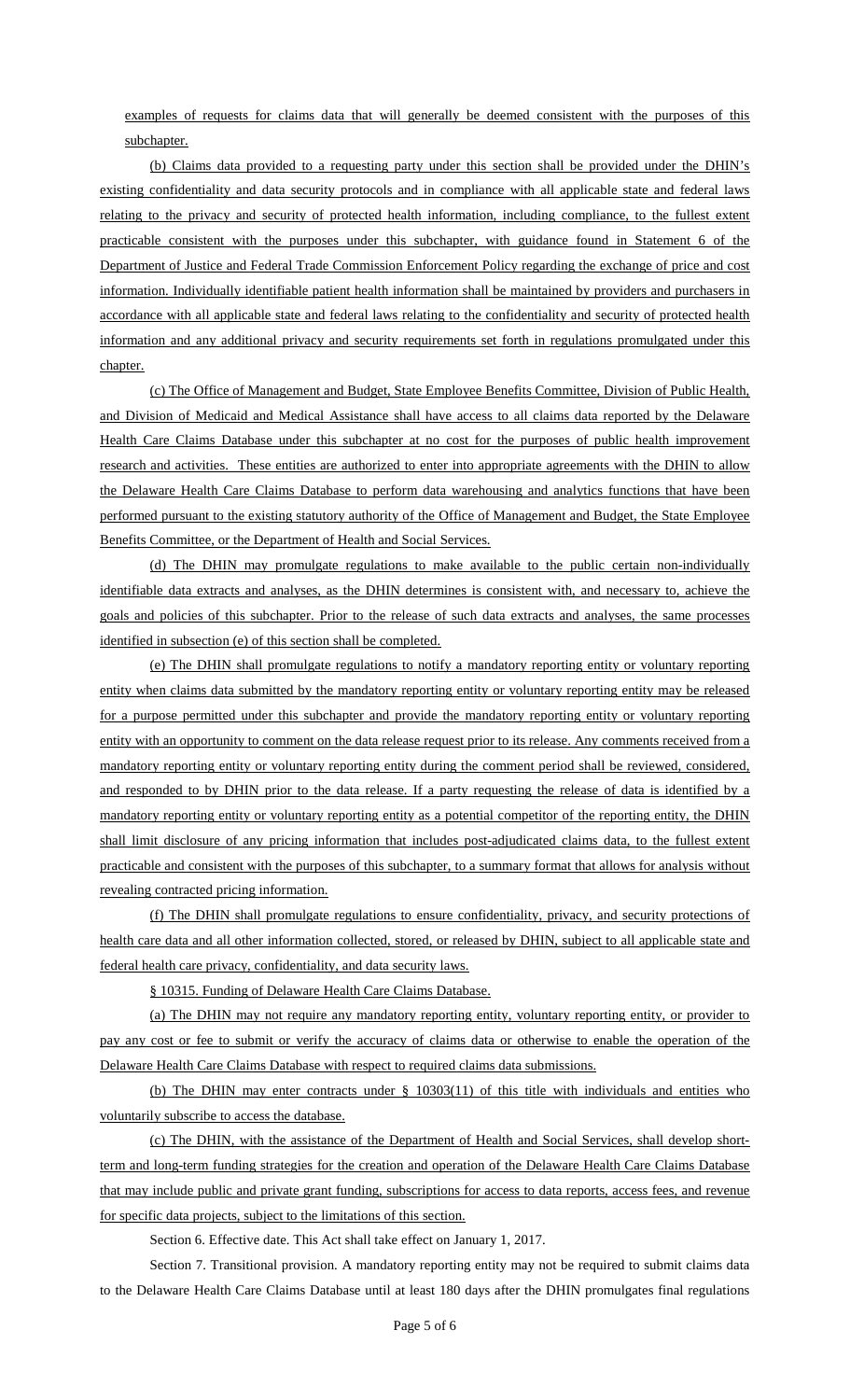examples of requests for claims data that will generally be deemed consistent with the purposes of this subchapter.

(b) Claims data provided to a requesting party under this section shall be provided under the DHIN's existing confidentiality and data security protocols and in compliance with all applicable state and federal laws relating to the privacy and security of protected health information, including compliance, to the fullest extent practicable consistent with the purposes under this subchapter, with guidance found in Statement 6 of the Department of Justice and Federal Trade Commission Enforcement Policy regarding the exchange of price and cost information. Individually identifiable patient health information shall be maintained by providers and purchasers in accordance with all applicable state and federal laws relating to the confidentiality and security of protected health information and any additional privacy and security requirements set forth in regulations promulgated under this chapter.

(c) The Office of Management and Budget, State Employee Benefits Committee, Division of Public Health, and Division of Medicaid and Medical Assistance shall have access to all claims data reported by the Delaware Health Care Claims Database under this subchapter at no cost for the purposes of public health improvement research and activities. These entities are authorized to enter into appropriate agreements with the DHIN to allow the Delaware Health Care Claims Database to perform data warehousing and analytics functions that have been performed pursuant to the existing statutory authority of the Office of Management and Budget, the State Employee Benefits Committee, or the Department of Health and Social Services.

(d) The DHIN may promulgate regulations to make available to the public certain non-individually identifiable data extracts and analyses, as the DHIN determines is consistent with, and necessary to, achieve the goals and policies of this subchapter. Prior to the release of such data extracts and analyses, the same processes identified in subsection (e) of this section shall be completed.

(e) The DHIN shall promulgate regulations to notify a mandatory reporting entity or voluntary reporting entity when claims data submitted by the mandatory reporting entity or voluntary reporting entity may be released for a purpose permitted under this subchapter and provide the mandatory reporting entity or voluntary reporting entity with an opportunity to comment on the data release request prior to its release. Any comments received from a mandatory reporting entity or voluntary reporting entity during the comment period shall be reviewed, considered, and responded to by DHIN prior to the data release. If a party requesting the release of data is identified by a mandatory reporting entity or voluntary reporting entity as a potential competitor of the reporting entity, the DHIN shall limit disclosure of any pricing information that includes post-adjudicated claims data, to the fullest extent practicable and consistent with the purposes of this subchapter, to a summary format that allows for analysis without revealing contracted pricing information.

(f) The DHIN shall promulgate regulations to ensure confidentiality, privacy, and security protections of health care data and all other information collected, stored, or released by DHIN, subject to all applicable state and federal health care privacy, confidentiality, and data security laws.

§ 10315. Funding of Delaware Health Care Claims Database.

(a) The DHIN may not require any mandatory reporting entity, voluntary reporting entity, or provider to pay any cost or fee to submit or verify the accuracy of claims data or otherwise to enable the operation of the Delaware Health Care Claims Database with respect to required claims data submissions.

(b) The DHIN may enter contracts under § 10303(11) of this title with individuals and entities who voluntarily subscribe to access the database.

(c) The DHIN, with the assistance of the Department of Health and Social Services, shall develop shortterm and long-term funding strategies for the creation and operation of the Delaware Health Care Claims Database that may include public and private grant funding, subscriptions for access to data reports, access fees, and revenue for specific data projects, subject to the limitations of this section.

Section 6. Effective date. This Act shall take effect on January 1, 2017.

Section 7. Transitional provision. A mandatory reporting entity may not be required to submit claims data to the Delaware Health Care Claims Database until at least 180 days after the DHIN promulgates final regulations